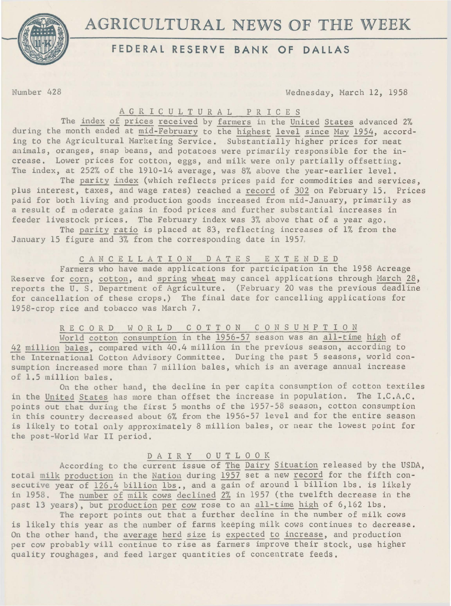**AGRICULTURAL** NEWS **OF THE** WEEK



# **FEDERAL RESERVE BANK OF DALLAS**

Number 428 Wednesday, March 12, 1958

#### A G R I C U L T U R A L P R I C E S

The index of prices received by farmers in the United States advanced 2% during the month ended at mid-February to the highest level since May 1954, according to the Agricultural Marketing Service. Substantially higher prices for meat animals, oranges, snap beans, and potatoes were primarily responsible for the increase. Lower prices for cotton, eggs, and milk were only partially offsetting. The index, at 252% of the 1910-14 average, was 8% above the year-earlier level.

The parity index (which reflects prices paid for commodities and services, plus interest, taxes, and wage rates) reached a record of 302 on February 15. Prices paid for both living and production goods increased from mid-January, primarily as a result of moderate gains in food prices and further substantial increases in feeder livestock prices. The February index was 3% above that of a year ago.

The parity ratio is placed at 83, reflecting increases of 1% from the January 15 figure and 3% from the corresponding date in 1957,

## C A N C E L L A T I 0 N D A T E S E X T E N D E D

Farmers who have made applications for participation in the 1958 Acreage Reserve for corn, cotton, and spring wheat may cancel applications through March 28, reports the U. S. Department of Agriculture. (February 20 was the previous deadline for cancellation of these crops.) The final date for cancelling applications for 1958-crop rice and tobacco was March 7.

# R E C O R D W O R L D C O T T O N C O N S U M P T I O N

World cotton consumption in the 1956-57 season was an all-time high of 42 million bales, compared with 40,4 million in the previous season, according to the International Cotton Advisory Committee. During the past 5 seasons, world consumption increased more than 7 million bales, which is an average annual increase of 1.5 million bales.

On the other hand, the decline in per capita consumption of cotton textiles in the United States has more than offset the increase in population. The I.C.A.C. points out that during the first 5 months of the 1957-58 season, cotton consumption in this country decreased about 6% from the 1956-57 level and for the entire season is likely to total only approximately 8 million bales, or near the lowest point for the post -World War II period.

## D A I R Y 0 U T L 0 0 K

According to the current issue of The Dairy Situation released by the USDA, total milk production in the Nation during 1957 set a new record for the fifth consecutive year of 126.4 billion lbs., and a gain of around 1 billion lbs. is likely in 1958. The number of milk cows declined 2% in 1957 (the twelfth decrease in the past 13 years), but production per cow rose to an all-time high of 6,162 lbs.

The report points out that a further decline in the number of milk cows is likely this year as the number of farms keeping milk cows continues to decrease. On the other hand, the average herd size is expected to increase, and production per cow probably will continue to rise as farmers improve their stock, use higher quality roughages, and feed larger quantities of concentrate feeds,